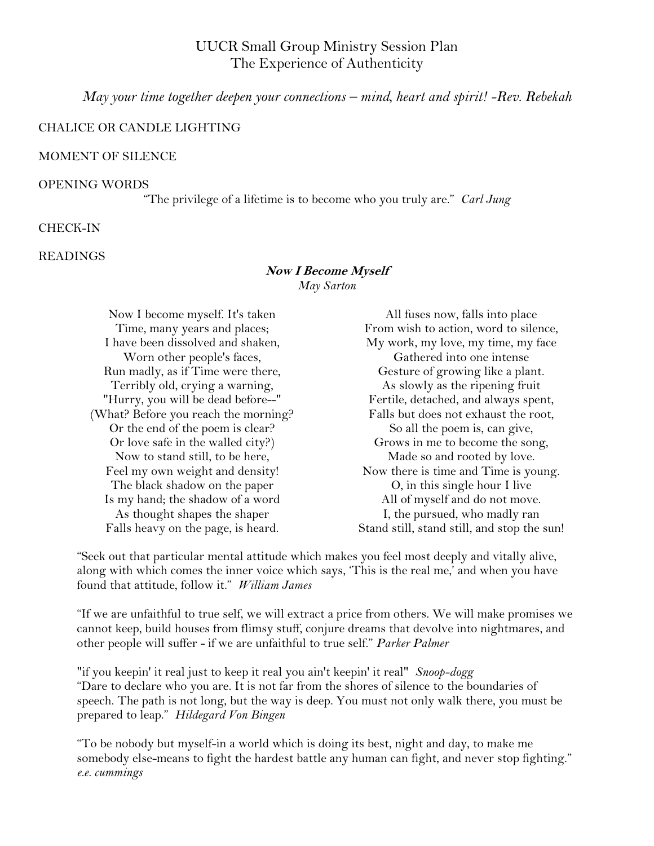*May your time together deepen your connections – mind, heart and spirit! -Rev. Rebekah*

# CHALICE OR CANDLE LIGHTING

## MOMENT OF SILENCE

## OPENING WORDS

"The privilege of a lifetime is to become who you truly are." *Carl Jung*

## CHECK-IN

## READINGS

#### **Now I Become Myself**

*[May Sarton](http://writersalmanac.publicradio.org/index/author.php?auth_id=1959)*

| Now I become myself. It's taken      | All fuses now, falls into place             |
|--------------------------------------|---------------------------------------------|
| Time, many years and places;         | From wish to action, word to silence,       |
| I have been dissolved and shaken,    | My work, my love, my time, my face          |
| Worn other people's faces,           | Gathered into one intense                   |
| Run madly, as if Time were there,    | Gesture of growing like a plant.            |
| Terribly old, crying a warning,      | As slowly as the ripening fruit             |
| "Hurry, you will be dead before--"   | Fertile, detached, and always spent,        |
| (What? Before you reach the morning? | Falls but does not exhaust the root,        |
| Or the end of the poem is clear?     | So all the poem is, can give,               |
| Or love safe in the walled city?)    | Grows in me to become the song,             |
| Now to stand still, to be here,      | Made so and rooted by love.                 |
| Feel my own weight and density!      | Now there is time and Time is young.        |
| The black shadow on the paper        | O, in this single hour I live               |
| Is my hand; the shadow of a word     | All of myself and do not move.              |
| As thought shapes the shaper         | I, the pursued, who madly ran               |
| Falls heavy on the page, is heard.   | Stand still, stand still, and stop the sun! |
|                                      |                                             |

"Seek out that particular mental attitude which makes you feel most deeply and vitally alive, along with which comes the inner voice which says, 'This is the real me,' and when you have found that attitude, follow it." *William James*

"If we are unfaithful to true self, we will extract a price from others. We will make promises we cannot keep, build houses from flimsy stuff, conjure dreams that devolve into nightmares, and other people will suffer - if we are unfaithful to true self." *Parker Palmer*

"if you keepin' it real just to keep it real you ain't keepin' it real" *Snoop-dogg* "Dare to declare who you are. It is not far from the shores of silence to the boundaries of speech. The path is not long, but the way is deep. You must not only walk there, you must be prepared to leap." *Hildegard Von Bingen*

"To be nobody but myself-in a world which is doing its best, night and day, to make me somebody else-means to fight the hardest battle any human can fight, and never stop fighting." *e.e. cummings*